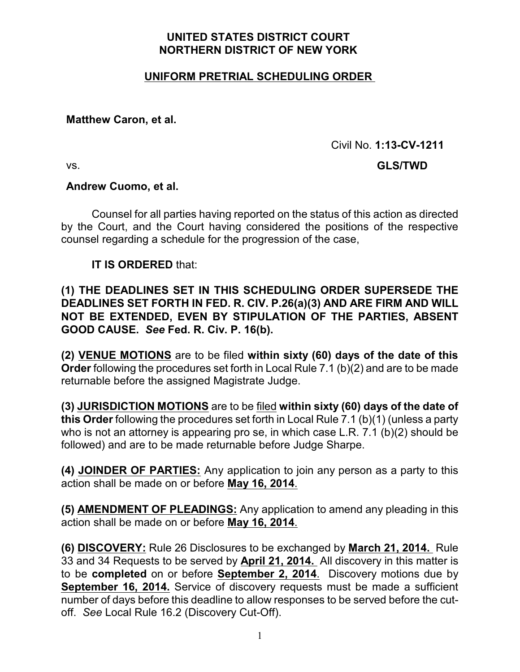## **UNITED STATES DISTRICT COURT NORTHERN DISTRICT OF NEW YORK**

## **UNIFORM PRETRIAL SCHEDULING ORDER**

## **Matthew Caron, et al.**

## Civil No. **1:13-CV-1211**

vs. **GLS/TWD**

## **Andrew Cuomo, et al.**

Counsel for all parties having reported on the status of this action as directed by the Court, and the Court having considered the positions of the respective counsel regarding a schedule for the progression of the case,

## **IT IS ORDERED** that:

**(1) THE DEADLINES SET IN THIS SCHEDULING ORDER SUPERSEDE THE DEADLINES SET FORTH IN FED. R. CIV. P.26(a)(3) AND ARE FIRM AND WILL NOT BE EXTENDED, EVEN BY STIPULATION OF THE PARTIES, ABSENT GOOD CAUSE.** *See* **Fed. R. Civ. P. 16(b).**

**(2) VENUE MOTIONS** are to be filed **within sixty (60) days of the date of this Order** following the procedures set forth in Local Rule 7.1 (b)(2) and are to be made returnable before the assigned Magistrate Judge.

**(3) JURISDICTION MOTIONS** are to be filed **within sixty (60) days of the date of this Order** following the procedures set forth in Local Rule 7.1 (b)(1) (unless a party who is not an attorney is appearing pro se, in which case L.R. 7.1 (b)(2) should be followed) and are to be made returnable before Judge Sharpe.

**(4) JOINDER OF PARTIES:** Any application to join any person as a party to this action shall be made on or before **May 16, 2014**.

**(5) AMENDMENT OF PLEADINGS:** Any application to amend any pleading in this action shall be made on or before **May 16, 2014**.

**(6) DISCOVERY:** Rule 26 Disclosures to be exchanged by **March 21, 2014.** Rule 33 and 34 Requests to be served by **April 21, 2014.** All discovery in this matter is to be **completed** on or before **September 2, 2014**. Discovery motions due by **September 16, 2014.** Service of discovery requests must be made a sufficient number of days before this deadline to allow responses to be served before the cutoff. *See* Local Rule 16.2 (Discovery Cut-Off).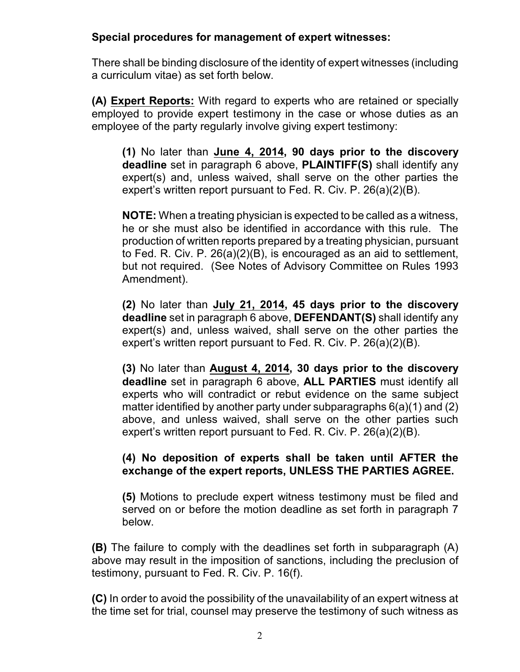## **Special procedures for management of expert witnesses:**

There shall be binding disclosure of the identity of expert witnesses (including a curriculum vitae) as set forth below.

**(A) Expert Reports:** With regard to experts who are retained or specially employed to provide expert testimony in the case or whose duties as an employee of the party regularly involve giving expert testimony:

**(1)** No later than **June 4, 2014, 90 days prior to the discovery deadline** set in paragraph 6 above, **PLAINTIFF(S)** shall identify any expert(s) and, unless waived, shall serve on the other parties the expert's written report pursuant to Fed. R. Civ. P. 26(a)(2)(B).

**NOTE:** When a treating physician is expected to be called as a witness, he or she must also be identified in accordance with this rule. The production of written reports prepared by a treating physician, pursuant to Fed. R. Civ. P. 26(a)(2)(B), is encouraged as an aid to settlement, but not required. (See Notes of Advisory Committee on Rules 1993 Amendment).

**(2)** No later than **July 21, 2014, 45 days prior to the discovery deadline** set in paragraph 6 above, **DEFENDANT(S)** shall identify any expert(s) and, unless waived, shall serve on the other parties the expert's written report pursuant to Fed. R. Civ. P. 26(a)(2)(B).

**(3)** No later than **August 4, 2014, 30 days prior to the discovery deadline** set in paragraph 6 above, **ALL PARTIES** must identify all experts who will contradict or rebut evidence on the same subject matter identified by another party under subparagraphs 6(a)(1) and (2) above, and unless waived, shall serve on the other parties such expert's written report pursuant to Fed. R. Civ. P. 26(a)(2)(B).

## **(4) No deposition of experts shall be taken until AFTER the exchange of the expert reports, UNLESS THE PARTIES AGREE.**

**(5)** Motions to preclude expert witness testimony must be filed and served on or before the motion deadline as set forth in paragraph 7 below.

**(B)** The failure to comply with the deadlines set forth in subparagraph (A) above may result in the imposition of sanctions, including the preclusion of testimony, pursuant to Fed. R. Civ. P. 16(f).

**(C)** In order to avoid the possibility of the unavailability of an expert witness at the time set for trial, counsel may preserve the testimony of such witness as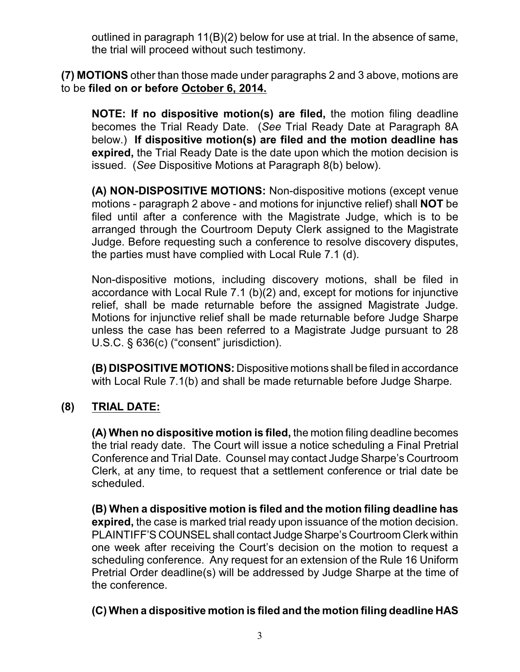outlined in paragraph 11(B)(2) below for use at trial. In the absence of same, the trial will proceed without such testimony.

**(7) MOTIONS** other than those made under paragraphs 2 and 3 above, motions are to be **filed on or before October 6, 2014.**

**NOTE: If no dispositive motion(s) are filed,** the motion filing deadline becomes the Trial Ready Date. (*See* Trial Ready Date at Paragraph 8A below.) **If dispositive motion(s) are filed and the motion deadline has expired,** the Trial Ready Date is the date upon which the motion decision is issued. (*See* Dispositive Motions at Paragraph 8(b) below).

**(A) NON-DISPOSITIVE MOTIONS:** Non-dispositive motions (except venue motions - paragraph 2 above - and motions for injunctive relief) shall **NOT** be filed until after a conference with the Magistrate Judge, which is to be arranged through the Courtroom Deputy Clerk assigned to the Magistrate Judge. Before requesting such a conference to resolve discovery disputes, the parties must have complied with Local Rule 7.1 (d).

Non-dispositive motions, including discovery motions, shall be filed in accordance with Local Rule 7.1 (b)(2) and, except for motions for injunctive relief, shall be made returnable before the assigned Magistrate Judge. Motions for injunctive relief shall be made returnable before Judge Sharpe unless the case has been referred to a Magistrate Judge pursuant to 28 U.S.C. § 636(c) ("consent" jurisdiction).

**(B) DISPOSITIVE MOTIONS:** Dispositive motions shall be filed in accordance with Local Rule 7.1(b) and shall be made returnable before Judge Sharpe.

## **(8) TRIAL DATE:**

**(A) When no dispositive motion is filed,** the motion filing deadline becomes the trial ready date. The Court will issue a notice scheduling a Final Pretrial Conference and Trial Date. Counsel may contact Judge Sharpe's Courtroom Clerk, at any time, to request that a settlement conference or trial date be scheduled.

**(B) When a dispositive motion is filed and the motion filing deadline has expired,** the case is marked trial ready upon issuance of the motion decision. PLAINTIFF'S COUNSEL shall contact Judge Sharpe's Courtroom Clerk within one week after receiving the Court's decision on the motion to request a scheduling conference. Any request for an extension of the Rule 16 Uniform Pretrial Order deadline(s) will be addressed by Judge Sharpe at the time of the conference.

**(C) When a dispositive motion is filed and the motion filing deadline HAS**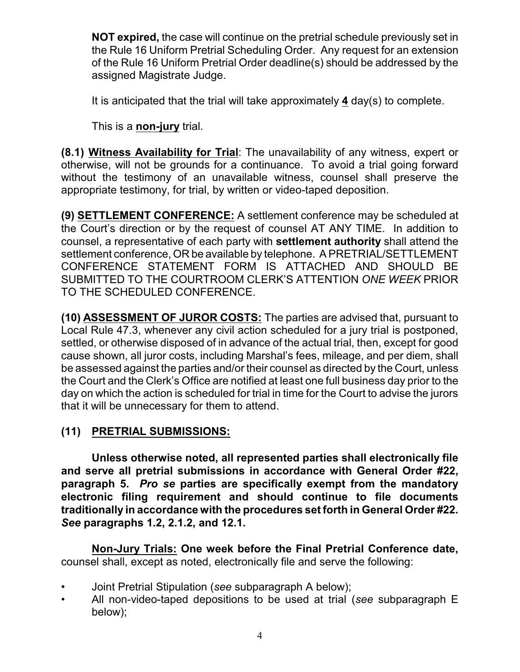**NOT expired,** the case will continue on the pretrial schedule previously set in the Rule 16 Uniform Pretrial Scheduling Order. Any request for an extension of the Rule 16 Uniform Pretrial Order deadline(s) should be addressed by the assigned Magistrate Judge.

It is anticipated that the trial will take approximately **4** day(s) to complete.

This is a **non-jury** trial.

**(8.1) Witness Availability for Trial**: The unavailability of any witness, expert or otherwise, will not be grounds for a continuance. To avoid a trial going forward without the testimony of an unavailable witness, counsel shall preserve the appropriate testimony, for trial, by written or video-taped deposition.

**(9) SETTLEMENT CONFERENCE:** A settlement conference may be scheduled at the Court's direction or by the request of counsel AT ANY TIME. In addition to counsel, a representative of each party with **settlement authority** shall attend the settlement conference, OR be available by telephone. A PRETRIAL/SETTLEMENT CONFERENCE STATEMENT FORM IS ATTACHED AND SHOULD BE SUBMITTED TO THE COURTROOM CLERK'S ATTENTION *ONE WEEK* PRIOR TO THE SCHEDULED CONFERENCE.

**(10) ASSESSMENT OF JUROR COSTS:** The parties are advised that, pursuant to Local Rule 47.3, whenever any civil action scheduled for a jury trial is postponed, settled, or otherwise disposed of in advance of the actual trial, then, except for good cause shown, all juror costs, including Marshal's fees, mileage, and per diem, shall be assessed against the parties and/or their counsel as directed by the Court, unless the Court and the Clerk's Office are notified at least one full business day prior to the day on which the action is scheduled for trial in time for the Court to advise the jurors that it will be unnecessary for them to attend.

## **(11) PRETRIAL SUBMISSIONS:**

**Unless otherwise noted, all represented parties shall electronically file and serve all pretrial submissions in accordance with General Order #22, paragraph 5.** *Pro se* **parties are specifically exempt from the mandatory electronic filing requirement and should continue to file documents traditionally in accordance with the procedures set forth in General Order #22.**  *See* **paragraphs 1.2, 2.1.2, and 12.1.** 

**Non-Jury Trials: One week before the Final Pretrial Conference date,** counsel shall, except as noted, electronically file and serve the following:

- Joint Pretrial Stipulation (*see* subparagraph A below);
- All non-video-taped depositions to be used at trial (*see* subparagraph E below);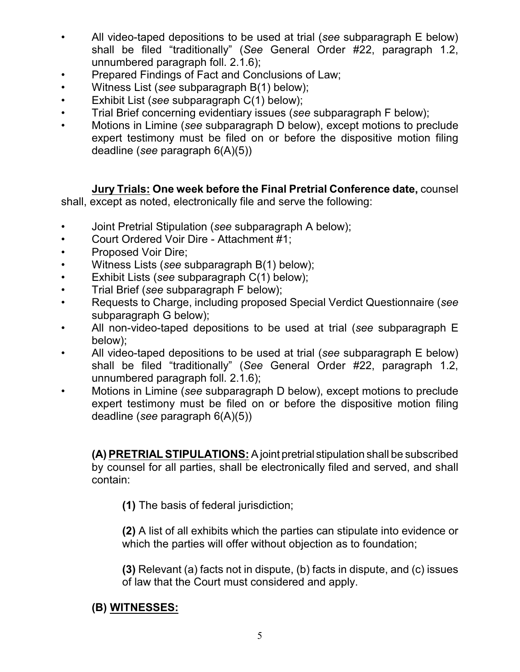- All video-taped depositions to be used at trial (*see* subparagraph E below) shall be filed "traditionally" (*See* General Order #22, paragraph 1.2, unnumbered paragraph foll. 2.1.6);
- Prepared Findings of Fact and Conclusions of Law;
- Witness List (*see* subparagraph B(1) below);
- Exhibit List (*see* subparagraph C(1) below);
- Trial Brief concerning evidentiary issues (*see* subparagraph F below);
- Motions in Limine (*see* subparagraph D below), except motions to preclude expert testimony must be filed on or before the dispositive motion filing deadline (*see* paragraph 6(A)(5))

**Jury Trials: One week before the Final Pretrial Conference date,** counsel shall, except as noted, electronically file and serve the following:

- Joint Pretrial Stipulation (*see* subparagraph A below);
- Court Ordered Voir Dire Attachment #1;
- Proposed Voir Dire;
- Witness Lists (*see* subparagraph B(1) below);
- Exhibit Lists (*see* subparagraph C(1) below);
- Trial Brief (*see* subparagraph F below);
- Requests to Charge, including proposed Special Verdict Questionnaire (*see* subparagraph G below);
- All non-video-taped depositions to be used at trial (*see* subparagraph E below);
- All video-taped depositions to be used at trial (*see* subparagraph E below) shall be filed "traditionally" (*See* General Order #22, paragraph 1.2, unnumbered paragraph foll. 2.1.6);
- Motions in Limine (*see* subparagraph D below), except motions to preclude expert testimony must be filed on or before the dispositive motion filing deadline (*see* paragraph 6(A)(5))

**(A) PRETRIAL STIPULATIONS:** Ajoint pretrial stipulation shall be subscribed by counsel for all parties, shall be electronically filed and served, and shall contain:

**(1)** The basis of federal jurisdiction;

**(2)** A list of all exhibits which the parties can stipulate into evidence or which the parties will offer without objection as to foundation;

**(3)** Relevant (a) facts not in dispute, (b) facts in dispute, and (c) issues of law that the Court must considered and apply.

## **(B) WITNESSES:**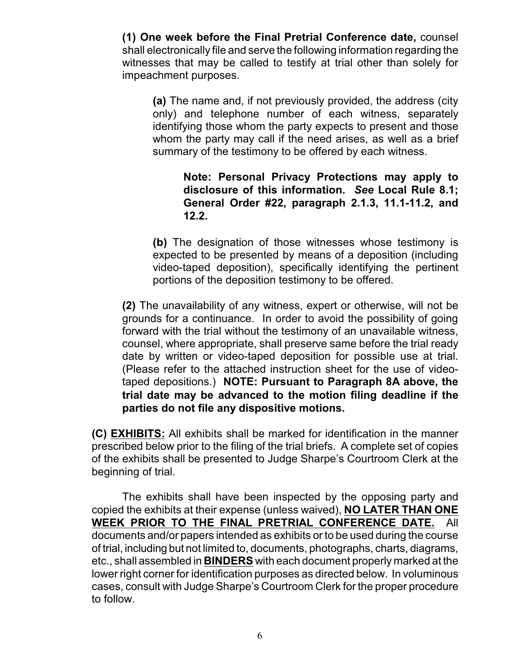**(1) One week before the Final Pretrial Conference date,** counsel shall electronically file and serve the following information regarding the witnesses that may be called to testify at trial other than solely for impeachment purposes.

**(a)** The name and, if not previously provided, the address (city only) and telephone number of each witness, separately identifying those whom the party expects to present and those whom the party may call if the need arises, as well as a brief summary of the testimony to be offered by each witness.

## **Note: Personal Privacy Protections may apply to disclosure of this information.** *See* **Local Rule 8.1; General Order #22, paragraph 2.1.3, 11.1-11.2, and 12.2.**

**(b)** The designation of those witnesses whose testimony is expected to be presented by means of a deposition (including video-taped deposition), specifically identifying the pertinent portions of the deposition testimony to be offered.

**(2)** The unavailability of any witness, expert or otherwise, will not be grounds for a continuance. In order to avoid the possibility of going forward with the trial without the testimony of an unavailable witness, counsel, where appropriate, shall preserve same before the trial ready date by written or video-taped deposition for possible use at trial. (Please refer to the attached instruction sheet for the use of videotaped depositions.) **NOTE: Pursuant to Paragraph 8A above, the trial date may be advanced to the motion filing deadline if the parties do not file any dispositive motions.**

**(C) EXHIBITS:** All exhibits shall be marked for identification in the manner prescribed below prior to the filing of the trial briefs. A complete set of copies of the exhibits shall be presented to Judge Sharpe's Courtroom Clerk at the beginning of trial.

The exhibits shall have been inspected by the opposing party and copied the exhibits at their expense (unless waived), **NO LATER THAN ONE WEEK PRIOR TO THE FINAL PRETRIAL CONFERENCE DATE.** All documents and/or papers intended as exhibits or to be used during the course of trial, including but not limited to, documents, photographs, charts, diagrams, etc., shall assembled in **BINDERS** with each document properly marked at the lower right corner for identification purposes as directed below. In voluminous cases, consult with Judge Sharpe's Courtroom Clerk for the proper procedure to follow.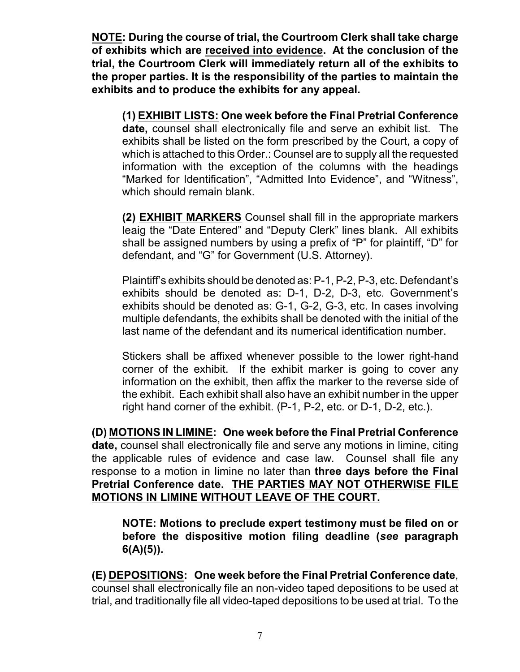**NOTE: During the course of trial, the Courtroom Clerk shall take charge of exhibits which are received into evidence. At the conclusion of the trial, the Courtroom Clerk will immediately return all of the exhibits to the proper parties. It is the responsibility of the parties to maintain the exhibits and to produce the exhibits for any appeal.**

**(1) EXHIBIT LISTS: One week before the Final Pretrial Conference date,** counsel shall electronically file and serve an exhibit list. The exhibits shall be listed on the form prescribed by the Court, a copy of which is attached to this Order.: Counsel are to supply all the requested information with the exception of the columns with the headings "Marked for Identification", "Admitted Into Evidence", and "Witness", which should remain blank.

**(2) EXHIBIT MARKERS** Counsel shall fill in the appropriate markers leaig the "Date Entered" and "Deputy Clerk" lines blank. All exhibits shall be assigned numbers by using a prefix of "P" for plaintiff, "D" for defendant, and "G" for Government (U.S. Attorney).

Plaintiff's exhibits should be denoted as: P-1, P-2, P-3, etc. Defendant's exhibits should be denoted as: D-1, D-2, D-3, etc. Government's exhibits should be denoted as: G-1, G-2, G-3, etc. In cases involving multiple defendants, the exhibits shall be denoted with the initial of the last name of the defendant and its numerical identification number.

Stickers shall be affixed whenever possible to the lower right-hand corner of the exhibit. If the exhibit marker is going to cover any information on the exhibit, then affix the marker to the reverse side of the exhibit. Each exhibit shall also have an exhibit number in the upper right hand corner of the exhibit. (P-1, P-2, etc. or D-1, D-2, etc.).

**(D) MOTIONS IN LIMINE: One week before the Final Pretrial Conference date,** counsel shall electronically file and serve any motions in limine, citing the applicable rules of evidence and case law. Counsel shall file any response to a motion in limine no later than **three days before the Final Pretrial Conference date. THE PARTIES MAY NOT OTHERWISE FILE MOTIONS IN LIMINE WITHOUT LEAVE OF THE COURT.**

**NOTE: Motions to preclude expert testimony must be filed on or before the dispositive motion filing deadline (***see* **paragraph 6(A)(5)).**

**(E) DEPOSITIONS: One week before the Final Pretrial Conference date**, counsel shall electronically file an non-video taped depositions to be used at trial, and traditionally file all video-taped depositions to be used at trial. To the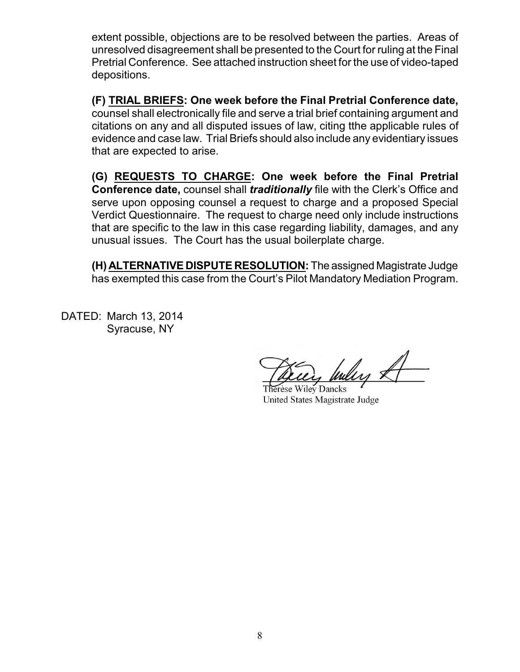extent possible, objections are to be resolved between the parties. Areas of unresolved disagreement shall be presented to the Court for ruling at the Final Pretrial Conference. See attached instruction sheet for the use of video-taped depositions.

**(F) TRIAL BRIEFS: One week before the Final Pretrial Conference date,** counsel shall electronically file and serve a trial brief containing argument and citations on any and all disputed issues of law, citing tthe applicable rules of evidence and case law. Trial Briefs should also include any evidentiary issues that are expected to arise.

**(G) REQUESTS TO CHARGE: One week before the Final Pretrial Conference date,** counsel shall *traditionally* file with the Clerk's Office and serve upon opposing counsel a request to charge and a proposed Special Verdict Questionnaire. The request to charge need only include instructions that are specific to the law in this case regarding liability, damages, and any unusual issues. The Court has the usual boilerplate charge.

**(H) ALTERNATIVE DISPUTE RESOLUTION:** The assigned Magistrate Judge has exempted this case from the Court's Pilot Mandatory Mediation Program.

DATED: March 13, 2014 Syracuse, NY

Willey At

Therèse Wiley Dancks United States Magistrate Judge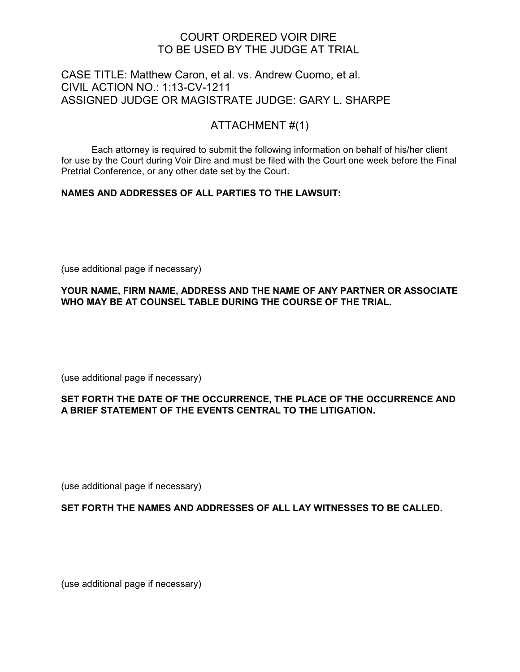## COURT ORDERED VOIR DIRE TO BE USED BY THE JUDGE AT TRIAL

## CASE TITLE: Matthew Caron, et al. vs. Andrew Cuomo, et al. CIVIL ACTION NO.: 1:13-CV-1211 ASSIGNED JUDGE OR MAGISTRATE JUDGE: GARY L. SHARPE

## ATTACHMENT #(1)

Each attorney is required to submit the following information on behalf of his/her client for use by the Court during Voir Dire and must be filed with the Court one week before the Final Pretrial Conference, or any other date set by the Court.

### **NAMES AND ADDRESSES OF ALL PARTIES TO THE LAWSUIT:**

(use additional page if necessary)

### **YOUR NAME, FIRM NAME, ADDRESS AND THE NAME OF ANY PARTNER OR ASSOCIATE WHO MAY BE AT COUNSEL TABLE DURING THE COURSE OF THE TRIAL.**

(use additional page if necessary)

### **SET FORTH THE DATE OF THE OCCURRENCE, THE PLACE OF THE OCCURRENCE AND A BRIEF STATEMENT OF THE EVENTS CENTRAL TO THE LITIGATION.**

(use additional page if necessary)

### **SET FORTH THE NAMES AND ADDRESSES OF ALL LAY WITNESSES TO BE CALLED.**

(use additional page if necessary)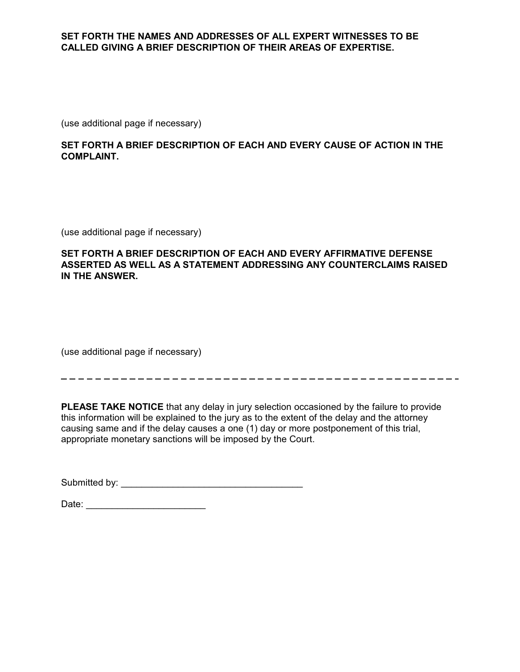### **SET FORTH THE NAMES AND ADDRESSES OF ALL EXPERT WITNESSES TO BE CALLED GIVING A BRIEF DESCRIPTION OF THEIR AREAS OF EXPERTISE.**

(use additional page if necessary)

### **SET FORTH A BRIEF DESCRIPTION OF EACH AND EVERY CAUSE OF ACTION IN THE COMPLAINT.**

(use additional page if necessary)

### **SET FORTH A BRIEF DESCRIPTION OF EACH AND EVERY AFFIRMATIVE DEFENSE ASSERTED AS WELL AS A STATEMENT ADDRESSING ANY COUNTERCLAIMS RAISED IN THE ANSWER.**

(use additional page if necessary)

**PLEASE TAKE NOTICE** that any delay in jury selection occasioned by the failure to provide this information will be explained to the jury as to the extent of the delay and the attorney causing same and if the delay causes a one (1) day or more postponement of this trial, appropriate monetary sanctions will be imposed by the Court.

Submitted by: \_\_\_\_\_\_\_\_\_\_\_\_\_\_\_\_\_\_\_\_\_\_\_\_\_\_\_\_\_\_\_\_\_\_\_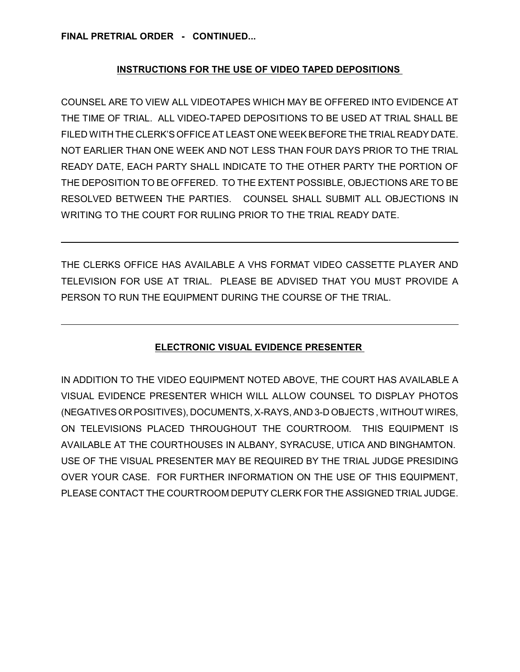**FINAL PRETRIAL ORDER - CONTINUED...**

## **INSTRUCTIONS FOR THE USE OF VIDEO TAPED DEPOSITIONS**

COUNSEL ARE TO VIEW ALL VIDEOTAPES WHICH MAY BE OFFERED INTO EVIDENCE AT THE TIME OF TRIAL. ALL VIDEO-TAPED DEPOSITIONS TO BE USED AT TRIAL SHALL BE FILED WITH THE CLERK'S OFFICE AT LEAST ONE WEEK BEFORE THE TRIAL READY DATE. NOT EARLIER THAN ONE WEEK AND NOT LESS THAN FOUR DAYS PRIOR TO THE TRIAL READY DATE, EACH PARTY SHALL INDICATE TO THE OTHER PARTY THE PORTION OF THE DEPOSITION TO BE OFFERED. TO THE EXTENT POSSIBLE, OBJECTIONS ARE TO BE RESOLVED BETWEEN THE PARTIES. COUNSEL SHALL SUBMIT ALL OBJECTIONS IN WRITING TO THE COURT FOR RULING PRIOR TO THE TRIAL READY DATE.

THE CLERKS OFFICE HAS AVAILABLE A VHS FORMAT VIDEO CASSETTE PLAYER AND TELEVISION FOR USE AT TRIAL. PLEASE BE ADVISED THAT YOU MUST PROVIDE A PERSON TO RUN THE EQUIPMENT DURING THE COURSE OF THE TRIAL.

## **ELECTRONIC VISUAL EVIDENCE PRESENTER**

IN ADDITION TO THE VIDEO EQUIPMENT NOTED ABOVE, THE COURT HAS AVAILABLE A VISUAL EVIDENCE PRESENTER WHICH WILL ALLOW COUNSEL TO DISPLAY PHOTOS (NEGATIVESOR POSITIVES), DOCUMENTS, X-RAYS, AND 3-D OBJECTS , WITHOUT WIRES, ON TELEVISIONS PLACED THROUGHOUT THE COURTROOM. THIS EQUIPMENT IS AVAILABLE AT THE COURTHOUSES IN ALBANY, SYRACUSE, UTICA AND BINGHAMTON. USE OF THE VISUAL PRESENTER MAY BE REQUIRED BY THE TRIAL JUDGE PRESIDING OVER YOUR CASE. FOR FURTHER INFORMATION ON THE USE OF THIS EQUIPMENT, PLEASE CONTACT THE COURTROOM DEPUTY CLERK FOR THE ASSIGNED TRIAL JUDGE.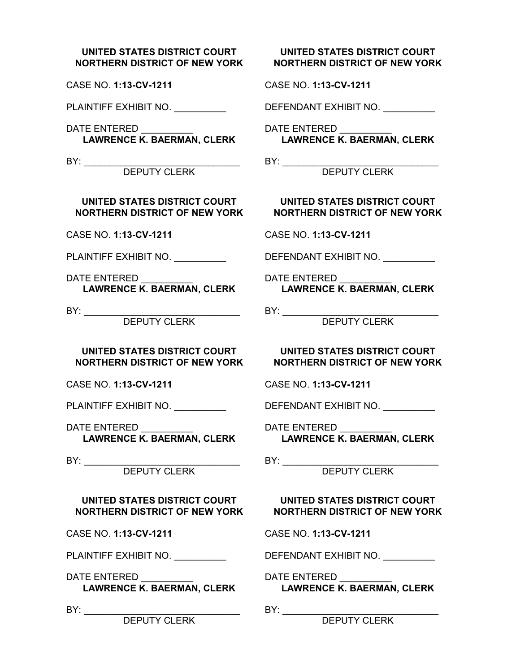### **UNITED STATES DISTRICT COURT NORTHERN DISTRICT OF NEW YORK**

CASE NO. **1:13-CV-1211**

PLAINTIFF EXHIBIT NO.

DATE ENTERED \_\_\_\_\_\_\_\_\_\_ **LAWRENCE K. BAERMAN, CLERK** 

BY: \_\_\_\_\_\_\_\_\_\_\_\_\_\_\_\_\_\_\_\_\_\_\_\_\_\_\_\_\_\_

DEPUTY CLERK

### **UNITED STATES DISTRICT COURT NORTHERN DISTRICT OF NEW YORK**

CASE NO. **1:13-CV-1211**

PLAINTIFF EXHIBIT NO.

DATE ENTERED \_\_\_\_\_\_\_\_\_\_ **LAWRENCE K. BAERMAN, CLERK** 

BY: \_\_\_\_\_\_\_\_\_\_\_\_\_\_\_\_\_\_\_\_\_\_\_\_\_\_\_\_\_\_

DEPUTY CLERK

### **UNITED STATES DISTRICT COURT NORTHERN DISTRICT OF NEW YORK NORTHERN DISTRICT OF NEW YORK**

CASE NO. **1:13-CV-1211**

PLAINTIFF EXHIBIT NO.

DATE ENTERED \_\_\_\_\_\_\_\_\_\_ **LAWRENCE K. BAERMAN, CLERK** 

BY: \_\_\_\_\_\_\_\_\_\_\_\_\_\_\_\_\_\_\_\_\_\_\_\_\_\_\_\_\_\_

DEPUTY CLERK

#### **UNITED STATES DISTRICT COURT NORTHERN DISTRICT OF NEW YORK**

CASE NO. **1:13-CV-1211**

PLAINTIFF EXHIBIT NO.

DATE ENTERED \_\_\_\_\_\_\_\_\_\_ **LAWRENCE K. BAERMAN, CLERK** 

BY: \_\_\_\_\_\_\_\_\_\_\_\_\_\_\_\_\_\_\_\_\_\_\_\_\_\_\_\_\_\_

DEPUTY CLERK

### **UNITED STATES DISTRICT COURT NORTHERN DISTRICT OF NEW YORK**

CASE NO. **1:13-CV-1211**

DEFENDANT EXHIBIT NO. \_\_\_\_\_\_\_\_\_\_

DATE ENTERED \_\_\_\_\_\_\_\_\_\_ **LAWRENCE K. BAERMAN, CLERK** 

BY: \_\_\_\_\_\_\_\_\_\_\_\_\_\_\_\_\_\_\_\_\_\_\_\_\_\_\_\_\_\_ DEPUTY CLERK

### **UNITED STATES DISTRICT COURT NORTHERN DISTRICT OF NEW YORK**

CASE NO. **1:13-CV-1211**

DEFENDANT EXHIBIT NO. \_\_\_\_\_\_\_\_\_\_

DATE ENTERED **LAWRENCE K. BAERMAN, CLERK** 

BY: \_\_\_\_\_\_\_\_\_\_\_\_\_\_\_\_\_\_\_\_\_\_\_\_\_\_\_\_\_\_

DEPUTY CLERK

**UNITED STATES DISTRICT COURT**

CASE NO. **1:13-CV-1211**

DEFENDANT EXHIBIT NO. \_\_\_\_\_\_\_\_\_\_

DATE ENTERED \_\_\_\_\_\_\_\_\_\_ **LAWRENCE K. BAERMAN, CLERK** 

BY: \_\_\_\_\_\_\_\_\_\_\_\_\_\_\_\_\_\_\_\_\_\_\_\_\_\_\_\_\_\_

DEPUTY CLERK

### **UNITED STATES DISTRICT COURT NORTHERN DISTRICT OF NEW YORK**

CASE NO. **1:13-CV-1211**

DEFENDANT EXHIBIT NO. \_\_\_\_\_\_\_\_\_\_

DATE ENTERED \_\_\_\_\_\_\_\_\_\_ **LAWRENCE K. BAERMAN, CLERK** 

BY: \_\_\_\_\_\_\_\_\_\_\_\_\_\_\_\_\_\_\_\_\_\_\_\_\_\_\_\_\_\_

DEPUTY CLERK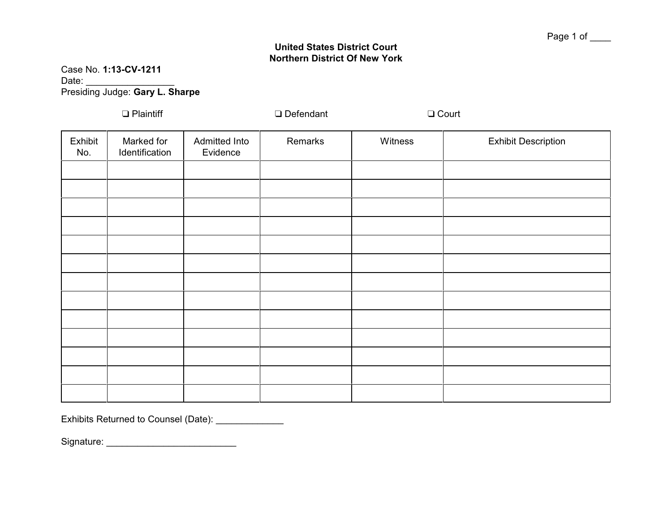### **United States District Court Northern District Of New York**

### Case No. **1:13-CV-1211** Date: Presiding Judge: **Gary L. Sharpe**

**Q** Plaintiff **Count C** Defendant **C** Defendant

| Exhibit<br>No. | Marked for<br>Identification | Admitted Into<br>Evidence | Remarks | Witness | <b>Exhibit Description</b> |
|----------------|------------------------------|---------------------------|---------|---------|----------------------------|
|                |                              |                           |         |         |                            |
|                |                              |                           |         |         |                            |
|                |                              |                           |         |         |                            |
|                |                              |                           |         |         |                            |
|                |                              |                           |         |         |                            |
|                |                              |                           |         |         |                            |
|                |                              |                           |         |         |                            |
|                |                              |                           |         |         |                            |
|                |                              |                           |         |         |                            |
|                |                              |                           |         |         |                            |
|                |                              |                           |         |         |                            |
|                |                              |                           |         |         |                            |
|                |                              |                           |         |         |                            |

Exhibits Returned to Counsel (Date): \_\_\_\_\_\_\_\_\_\_\_\_\_\_

Signature: \_\_\_\_\_\_\_\_\_\_\_\_\_\_\_\_\_\_\_\_\_\_\_\_\_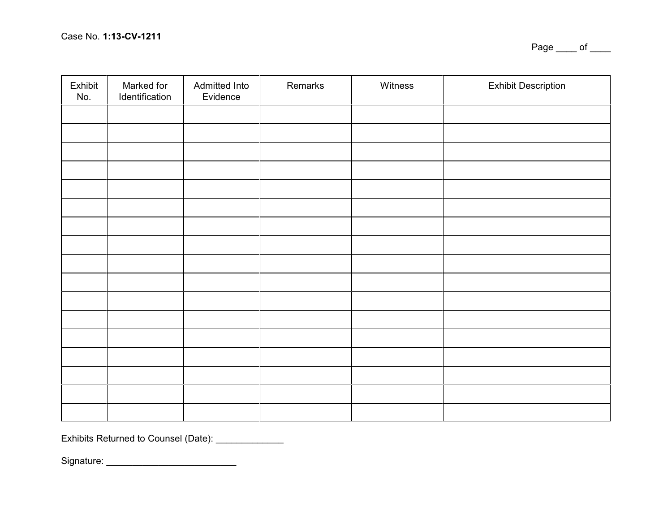Page \_\_\_\_ of \_\_\_\_

| Exhibit<br>No. | Marked for<br>Identification | Admitted Into<br>Evidence | Remarks | Witness | <b>Exhibit Description</b> |
|----------------|------------------------------|---------------------------|---------|---------|----------------------------|
|                |                              |                           |         |         |                            |
|                |                              |                           |         |         |                            |
|                |                              |                           |         |         |                            |
|                |                              |                           |         |         |                            |
|                |                              |                           |         |         |                            |
|                |                              |                           |         |         |                            |
|                |                              |                           |         |         |                            |
|                |                              |                           |         |         |                            |
|                |                              |                           |         |         |                            |
|                |                              |                           |         |         |                            |
|                |                              |                           |         |         |                            |
|                |                              |                           |         |         |                            |
|                |                              |                           |         |         |                            |
|                |                              |                           |         |         |                            |
|                |                              |                           |         |         |                            |
|                |                              |                           |         |         |                            |
|                |                              |                           |         |         |                            |

Exhibits Returned to Counsel (Date): \_\_\_\_\_\_\_\_\_\_\_\_\_\_

Signature: \_\_\_\_\_\_\_\_\_\_\_\_\_\_\_\_\_\_\_\_\_\_\_\_\_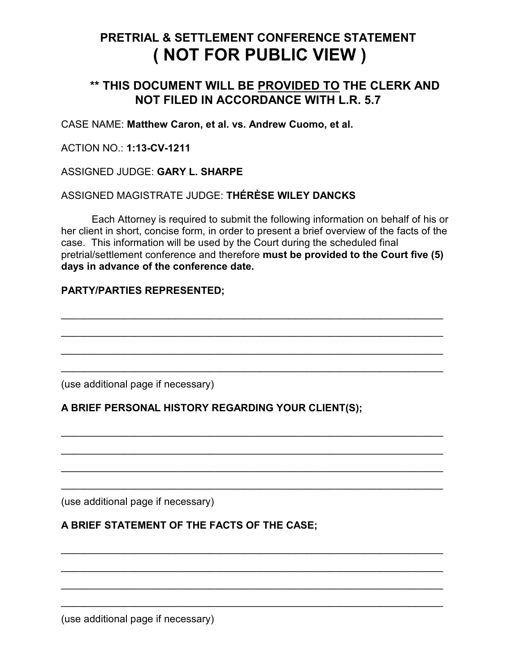# **PRETRIAL & SETTLEMENT CONFERENCE STATEMENT ( NOT FOR PUBLIC VIEW )**

## **\*\* THIS DOCUMENT WILL BE PROVIDED TO THE CLERK AND NOT FILED IN ACCORDANCE WITH L.R. 5.7**

CASE NAME: **Matthew Caron, et al. vs. Andrew Cuomo, et al.**

## ACTION NO.: **1:13-CV-1211**

ASSIGNED JUDGE: **GARY L. SHARPE**

### ASSIGNED MAGISTRATE JUDGE: **THÉRÈSE WILEY DANCKS**

Each Attorney is required to submit the following information on behalf of his or her client in short, concise form, in order to present a brief overview of the facts of the case. This information will be used by the Court during the scheduled final pretrial/settlement conference and therefore **must be provided to the Court five (5) days in advance of the conference date.**

\_\_\_\_\_\_\_\_\_\_\_\_\_\_\_\_\_\_\_\_\_\_\_\_\_\_\_\_\_\_\_\_\_\_\_\_\_\_\_\_\_\_\_\_\_\_\_\_\_\_\_\_\_\_\_\_\_\_\_\_\_\_\_\_\_\_\_

\_\_\_\_\_\_\_\_\_\_\_\_\_\_\_\_\_\_\_\_\_\_\_\_\_\_\_\_\_\_\_\_\_\_\_\_\_\_\_\_\_\_\_\_\_\_\_\_\_\_\_\_\_\_\_\_\_\_\_\_\_\_\_\_\_\_\_

\_\_\_\_\_\_\_\_\_\_\_\_\_\_\_\_\_\_\_\_\_\_\_\_\_\_\_\_\_\_\_\_\_\_\_\_\_\_\_\_\_\_\_\_\_\_\_\_\_\_\_\_\_\_\_\_\_\_\_\_\_\_\_\_\_\_\_

 $\mathcal{L}_\text{G}$  , and the contribution of the contribution of the contribution of the contribution of the contribution of the contribution of the contribution of the contribution of the contribution of the contribution of t

\_\_\_\_\_\_\_\_\_\_\_\_\_\_\_\_\_\_\_\_\_\_\_\_\_\_\_\_\_\_\_\_\_\_\_\_\_\_\_\_\_\_\_\_\_\_\_\_\_\_\_\_\_\_\_\_\_\_\_\_\_\_\_\_\_\_\_

\_\_\_\_\_\_\_\_\_\_\_\_\_\_\_\_\_\_\_\_\_\_\_\_\_\_\_\_\_\_\_\_\_\_\_\_\_\_\_\_\_\_\_\_\_\_\_\_\_\_\_\_\_\_\_\_\_\_\_\_\_\_\_\_\_\_\_

\_\_\_\_\_\_\_\_\_\_\_\_\_\_\_\_\_\_\_\_\_\_\_\_\_\_\_\_\_\_\_\_\_\_\_\_\_\_\_\_\_\_\_\_\_\_\_\_\_\_\_\_\_\_\_\_\_\_\_\_\_\_\_\_\_\_\_

\_\_\_\_\_\_\_\_\_\_\_\_\_\_\_\_\_\_\_\_\_\_\_\_\_\_\_\_\_\_\_\_\_\_\_\_\_\_\_\_\_\_\_\_\_\_\_\_\_\_\_\_\_\_\_\_\_\_\_\_\_\_\_\_\_\_\_

\_\_\_\_\_\_\_\_\_\_\_\_\_\_\_\_\_\_\_\_\_\_\_\_\_\_\_\_\_\_\_\_\_\_\_\_\_\_\_\_\_\_\_\_\_\_\_\_\_\_\_\_\_\_\_\_\_\_\_\_\_\_\_\_\_\_\_

\_\_\_\_\_\_\_\_\_\_\_\_\_\_\_\_\_\_\_\_\_\_\_\_\_\_\_\_\_\_\_\_\_\_\_\_\_\_\_\_\_\_\_\_\_\_\_\_\_\_\_\_\_\_\_\_\_\_\_\_\_\_\_\_\_\_\_

\_\_\_\_\_\_\_\_\_\_\_\_\_\_\_\_\_\_\_\_\_\_\_\_\_\_\_\_\_\_\_\_\_\_\_\_\_\_\_\_\_\_\_\_\_\_\_\_\_\_\_\_\_\_\_\_\_\_\_\_\_\_\_\_\_\_\_

\_\_\_\_\_\_\_\_\_\_\_\_\_\_\_\_\_\_\_\_\_\_\_\_\_\_\_\_\_\_\_\_\_\_\_\_\_\_\_\_\_\_\_\_\_\_\_\_\_\_\_\_\_\_\_\_\_\_\_\_\_\_\_\_\_\_\_

## **PARTY/PARTIES REPRESENTED;**

(use additional page if necessary)

## **A BRIEF PERSONAL HISTORY REGARDING YOUR CLIENT(S);**

(use additional page if necessary)

## **A BRIEF STATEMENT OF THE FACTS OF THE CASE;**

(use additional page if necessary)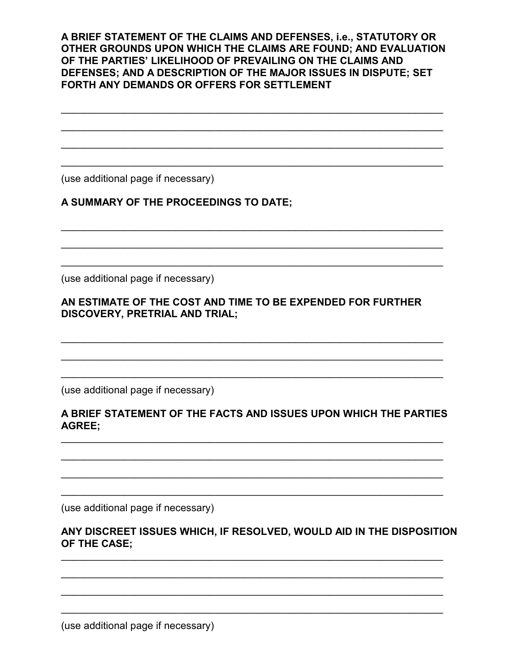### **A BRIEF STATEMENT OF THE CLAIMS AND DEFENSES, i.e., STATUTORY OR OTHER GROUNDS UPON WHICH THE CLAIMS ARE FOUND; AND EVALUATION OF THE PARTIES' LIKELIHOOD OF PREVAILING ON THE CLAIMS AND DEFENSES; AND A DESCRIPTION OF THE MAJOR ISSUES IN DISPUTE; SET FORTH ANY DEMANDS OR OFFERS FOR SETTLEMENT**

\_\_\_\_\_\_\_\_\_\_\_\_\_\_\_\_\_\_\_\_\_\_\_\_\_\_\_\_\_\_\_\_\_\_\_\_\_\_\_\_\_\_\_\_\_\_\_\_\_\_\_\_\_\_\_\_\_\_\_\_\_\_\_\_\_\_\_

\_\_\_\_\_\_\_\_\_\_\_\_\_\_\_\_\_\_\_\_\_\_\_\_\_\_\_\_\_\_\_\_\_\_\_\_\_\_\_\_\_\_\_\_\_\_\_\_\_\_\_\_\_\_\_\_\_\_\_\_\_\_\_\_\_\_\_

 $\mathcal{L}_\text{G}$  , and the contribution of the contribution of the contribution of the contribution of the contribution of the contribution of the contribution of the contribution of the contribution of the contribution of t

 $\mathcal{L}_\text{G}$  , and the contribution of the contribution of the contribution of the contribution of the contribution of the contribution of the contribution of the contribution of the contribution of the contribution of t

\_\_\_\_\_\_\_\_\_\_\_\_\_\_\_\_\_\_\_\_\_\_\_\_\_\_\_\_\_\_\_\_\_\_\_\_\_\_\_\_\_\_\_\_\_\_\_\_\_\_\_\_\_\_\_\_\_\_\_\_\_\_\_\_\_\_\_

\_\_\_\_\_\_\_\_\_\_\_\_\_\_\_\_\_\_\_\_\_\_\_\_\_\_\_\_\_\_\_\_\_\_\_\_\_\_\_\_\_\_\_\_\_\_\_\_\_\_\_\_\_\_\_\_\_\_\_\_\_\_\_\_\_\_\_

 $\mathcal{L}_\text{G}$  , and the contribution of the contribution of the contribution of the contribution of the contribution of the contribution of the contribution of the contribution of the contribution of the contribution of t

 $\mathcal{L}_\text{G}$  , and the contribution of the contribution of the contribution of the contribution of the contribution of the contribution of the contribution of the contribution of the contribution of the contribution of t

\_\_\_\_\_\_\_\_\_\_\_\_\_\_\_\_\_\_\_\_\_\_\_\_\_\_\_\_\_\_\_\_\_\_\_\_\_\_\_\_\_\_\_\_\_\_\_\_\_\_\_\_\_\_\_\_\_\_\_\_\_\_\_\_\_\_\_

\_\_\_\_\_\_\_\_\_\_\_\_\_\_\_\_\_\_\_\_\_\_\_\_\_\_\_\_\_\_\_\_\_\_\_\_\_\_\_\_\_\_\_\_\_\_\_\_\_\_\_\_\_\_\_\_\_\_\_\_\_\_\_\_\_\_\_

(use additional page if necessary)

## **A SUMMARY OF THE PROCEEDINGS TO DATE;**

(use additional page if necessary)

## **AN ESTIMATE OF THE COST AND TIME TO BE EXPENDED FOR FURTHER DISCOVERY, PRETRIAL AND TRIAL;**

(use additional page if necessary)

## **A BRIEF STATEMENT OF THE FACTS AND ISSUES UPON WHICH THE PARTIES AGREE;**

 $\mathcal{L}_\text{G}$  , and the contribution of the contribution of the contribution of the contribution of the contribution of the contribution of the contribution of the contribution of the contribution of the contribution of t

 $\mathcal{L}_\text{G}$  , and the contribution of the contribution of the contribution of the contribution of the contribution of the contribution of the contribution of the contribution of the contribution of the contribution of t

\_\_\_\_\_\_\_\_\_\_\_\_\_\_\_\_\_\_\_\_\_\_\_\_\_\_\_\_\_\_\_\_\_\_\_\_\_\_\_\_\_\_\_\_\_\_\_\_\_\_\_\_\_\_\_\_\_\_\_\_\_\_\_\_\_\_\_

\_\_\_\_\_\_\_\_\_\_\_\_\_\_\_\_\_\_\_\_\_\_\_\_\_\_\_\_\_\_\_\_\_\_\_\_\_\_\_\_\_\_\_\_\_\_\_\_\_\_\_\_\_\_\_\_\_\_\_\_\_\_\_\_\_\_\_

(use additional page if necessary)

## **ANY DISCREET ISSUES WHICH, IF RESOLVED, WOULD AID IN THE DISPOSITION OF THE CASE;**

\_\_\_\_\_\_\_\_\_\_\_\_\_\_\_\_\_\_\_\_\_\_\_\_\_\_\_\_\_\_\_\_\_\_\_\_\_\_\_\_\_\_\_\_\_\_\_\_\_\_\_\_\_\_\_\_\_\_\_\_\_\_\_\_\_\_\_

 $\mathcal{L}_\text{G}$  , and the contribution of the contribution of the contribution of the contribution of the contribution of the contribution of the contribution of the contribution of the contribution of the contribution of t

\_\_\_\_\_\_\_\_\_\_\_\_\_\_\_\_\_\_\_\_\_\_\_\_\_\_\_\_\_\_\_\_\_\_\_\_\_\_\_\_\_\_\_\_\_\_\_\_\_\_\_\_\_\_\_\_\_\_\_\_\_\_\_\_\_\_\_

\_\_\_\_\_\_\_\_\_\_\_\_\_\_\_\_\_\_\_\_\_\_\_\_\_\_\_\_\_\_\_\_\_\_\_\_\_\_\_\_\_\_\_\_\_\_\_\_\_\_\_\_\_\_\_\_\_\_\_\_\_\_\_\_\_\_\_

(use additional page if necessary)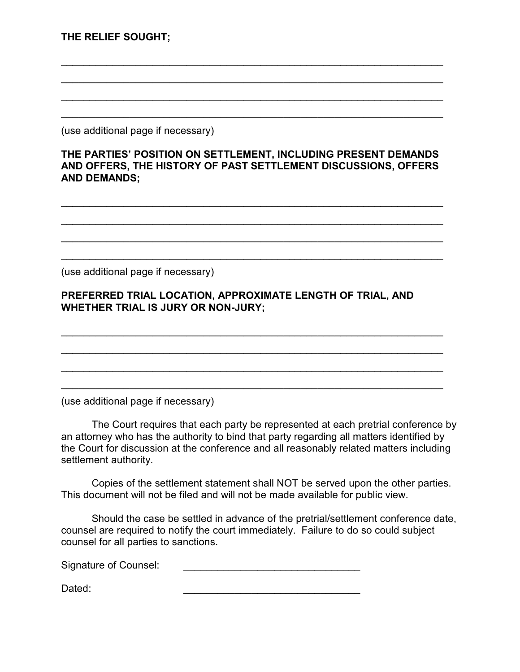**THE RELIEF SOUGHT;**

(use additional page if necessary)

## **THE PARTIES' POSITION ON SETTLEMENT, INCLUDING PRESENT DEMANDS AND OFFERS, THE HISTORY OF PAST SETTLEMENT DISCUSSIONS, OFFERS AND DEMANDS;**

 $\mathcal{L}_\text{G}$  , and the contribution of the contribution of the contribution of the contribution of the contribution of the contribution of the contribution of the contribution of the contribution of the contribution of t

\_\_\_\_\_\_\_\_\_\_\_\_\_\_\_\_\_\_\_\_\_\_\_\_\_\_\_\_\_\_\_\_\_\_\_\_\_\_\_\_\_\_\_\_\_\_\_\_\_\_\_\_\_\_\_\_\_\_\_\_\_\_\_\_\_\_\_

\_\_\_\_\_\_\_\_\_\_\_\_\_\_\_\_\_\_\_\_\_\_\_\_\_\_\_\_\_\_\_\_\_\_\_\_\_\_\_\_\_\_\_\_\_\_\_\_\_\_\_\_\_\_\_\_\_\_\_\_\_\_\_\_\_\_\_

\_\_\_\_\_\_\_\_\_\_\_\_\_\_\_\_\_\_\_\_\_\_\_\_\_\_\_\_\_\_\_\_\_\_\_\_\_\_\_\_\_\_\_\_\_\_\_\_\_\_\_\_\_\_\_\_\_\_\_\_\_\_\_\_\_\_\_

 $\mathcal{L}_\text{G}$  , and the contribution of the contribution of the contribution of the contribution of the contribution of the contribution of the contribution of the contribution of the contribution of the contribution of t

 $\mathcal{L}_\text{G}$  , and the contribution of the contribution of the contribution of the contribution of the contribution of the contribution of the contribution of the contribution of the contribution of the contribution of t

\_\_\_\_\_\_\_\_\_\_\_\_\_\_\_\_\_\_\_\_\_\_\_\_\_\_\_\_\_\_\_\_\_\_\_\_\_\_\_\_\_\_\_\_\_\_\_\_\_\_\_\_\_\_\_\_\_\_\_\_\_\_\_\_\_\_\_

\_\_\_\_\_\_\_\_\_\_\_\_\_\_\_\_\_\_\_\_\_\_\_\_\_\_\_\_\_\_\_\_\_\_\_\_\_\_\_\_\_\_\_\_\_\_\_\_\_\_\_\_\_\_\_\_\_\_\_\_\_\_\_\_\_\_\_

\_\_\_\_\_\_\_\_\_\_\_\_\_\_\_\_\_\_\_\_\_\_\_\_\_\_\_\_\_\_\_\_\_\_\_\_\_\_\_\_\_\_\_\_\_\_\_\_\_\_\_\_\_\_\_\_\_\_\_\_\_\_\_\_\_\_\_

\_\_\_\_\_\_\_\_\_\_\_\_\_\_\_\_\_\_\_\_\_\_\_\_\_\_\_\_\_\_\_\_\_\_\_\_\_\_\_\_\_\_\_\_\_\_\_\_\_\_\_\_\_\_\_\_\_\_\_\_\_\_\_\_\_\_\_

 $\mathcal{L}_\text{G}$  , and the contribution of the contribution of the contribution of the contribution of the contribution of the contribution of the contribution of the contribution of the contribution of the contribution of t

 $\mathcal{L}_\text{G}$  , and the contribution of the contribution of the contribution of the contribution of the contribution of the contribution of the contribution of the contribution of the contribution of the contribution of t

(use additional page if necessary)

## **PREFERRED TRIAL LOCATION, APPROXIMATE LENGTH OF TRIAL, AND WHETHER TRIAL IS JURY OR NON-JURY;**

(use additional page if necessary)

The Court requires that each party be represented at each pretrial conference by an attorney who has the authority to bind that party regarding all matters identified by the Court for discussion at the conference and all reasonably related matters including settlement authority.

Copies of the settlement statement shall NOT be served upon the other parties. This document will not be filed and will not be made available for public view.

Should the case be settled in advance of the pretrial/settlement conference date, counsel are required to notify the court immediately. Failure to do so could subject counsel for all parties to sanctions.

Signature of Counsel:

Dated: \_\_\_\_\_\_\_\_\_\_\_\_\_\_\_\_\_\_\_\_\_\_\_\_\_\_\_\_\_\_\_